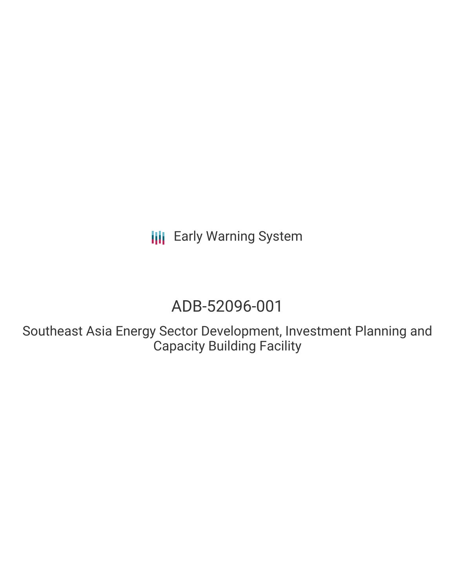**III** Early Warning System

# ADB-52096-001

Southeast Asia Energy Sector Development, Investment Planning and Capacity Building Facility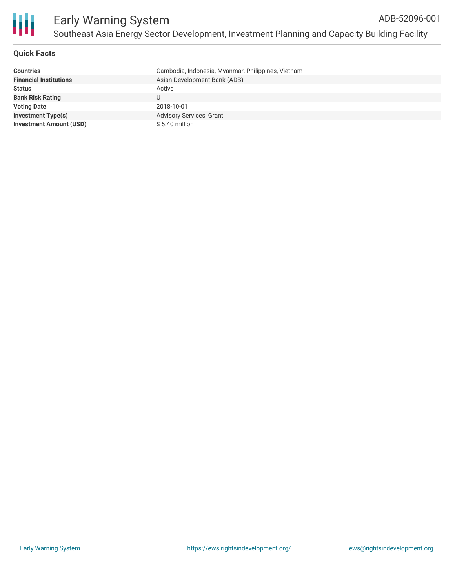

## **Quick Facts**

| <b>Countries</b>               | Cambodia, Indonesia, Myanmar, Philippines, Vietnam |
|--------------------------------|----------------------------------------------------|
| <b>Financial Institutions</b>  | Asian Development Bank (ADB)                       |
| <b>Status</b>                  | Active                                             |
| <b>Bank Risk Rating</b>        |                                                    |
| <b>Voting Date</b>             | 2018-10-01                                         |
| <b>Investment Type(s)</b>      | Advisory Services, Grant                           |
| <b>Investment Amount (USD)</b> | $$5.40$ million                                    |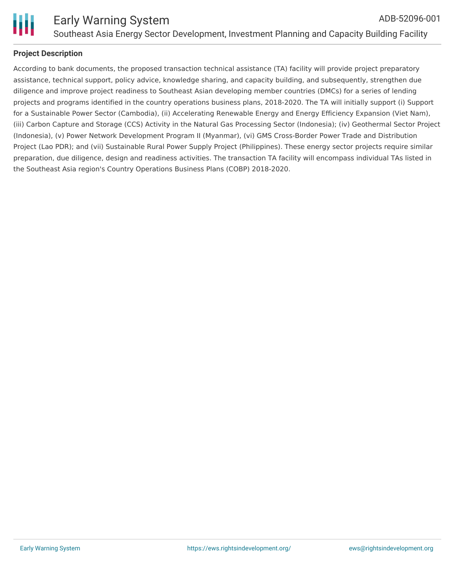

## **Project Description**

According to bank documents, the proposed transaction technical assistance (TA) facility will provide project preparatory assistance, technical support, policy advice, knowledge sharing, and capacity building, and subsequently, strengthen due diligence and improve project readiness to Southeast Asian developing member countries (DMCs) for a series of lending projects and programs identified in the country operations business plans, 2018-2020. The TA will initially support (i) Support for a Sustainable Power Sector (Cambodia), (ii) Accelerating Renewable Energy and Energy Efficiency Expansion (Viet Nam), (iii) Carbon Capture and Storage (CCS) Activity in the Natural Gas Processing Sector (Indonesia); (iv) Geothermal Sector Project (Indonesia), (v) Power Network Development Program II (Myanmar), (vi) GMS Cross-Border Power Trade and Distribution Project (Lao PDR); and (vii) Sustainable Rural Power Supply Project (Philippines). These energy sector projects require similar preparation, due diligence, design and readiness activities. The transaction TA facility will encompass individual TAs listed in the Southeast Asia region's Country Operations Business Plans (COBP) 2018-2020.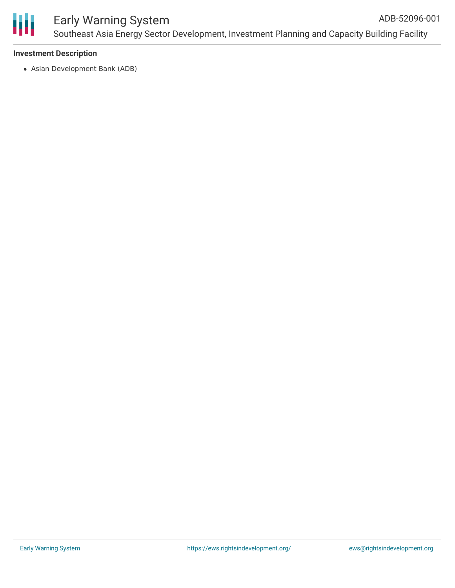

#### **Investment Description**

Asian Development Bank (ADB)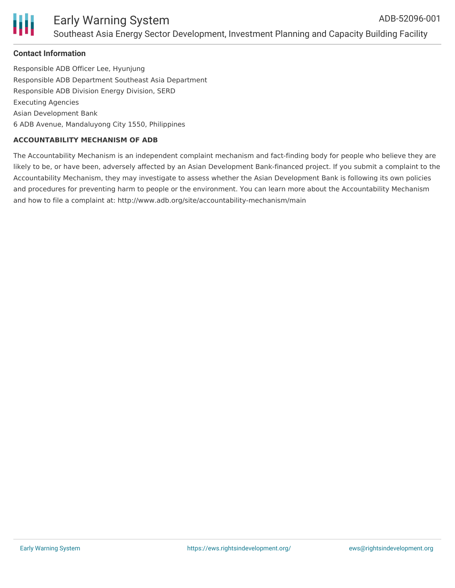

#### **Contact Information**

Responsible ADB Officer Lee, Hyunjung Responsible ADB Department Southeast Asia Department Responsible ADB Division Energy Division, SERD Executing Agencies Asian Development Bank 6 ADB Avenue, Mandaluyong City 1550, Philippines

#### **ACCOUNTABILITY MECHANISM OF ADB**

The Accountability Mechanism is an independent complaint mechanism and fact-finding body for people who believe they are likely to be, or have been, adversely affected by an Asian Development Bank-financed project. If you submit a complaint to the Accountability Mechanism, they may investigate to assess whether the Asian Development Bank is following its own policies and procedures for preventing harm to people or the environment. You can learn more about the Accountability Mechanism and how to file a complaint at: http://www.adb.org/site/accountability-mechanism/main